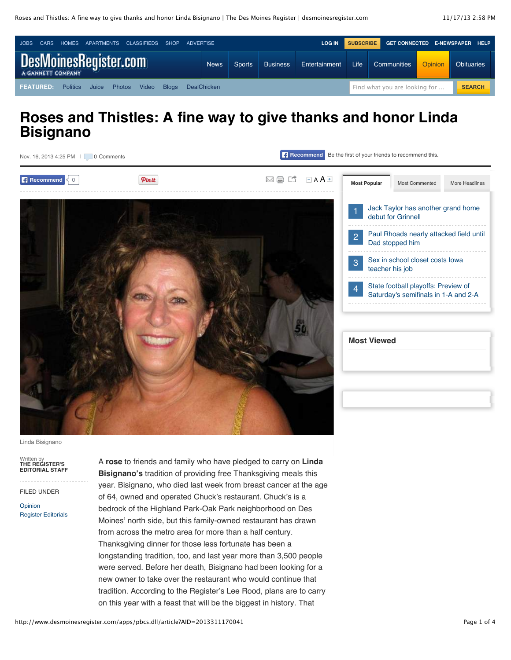

# **Roses and Thistles: A fine way to give thanks and honor Linda Bisignano**



Linda Bisignano

Written by **THE REGISTER'S EDITORIAL STAFF**

FILED UNDER

[Opinion](http://www.desmoinesregister.com/section/OPINION) [Register Editorials](http://www.desmoinesregister.com/section/OPINION03) A **rose** to friends and family who have pledged to carry on **Linda Bisignano's** tradition of providing free Thanksgiving meals this year. Bisignano, who died last week from breast cancer at the age of 64, owned and operated Chuck's restaurant. Chuck's is a bedrock of the Highland Park-Oak Park neighborhood on Des Moines' north side, but this family-owned restaurant has drawn from across the metro area for more than a half century. Thanksgiving dinner for those less fortunate has been a longstanding tradition, too, and last year more than 3,500 people were served. Before her death, Bisignano had been looking for a new owner to take over the restaurant who would continue that tradition. According to the Register's Lee Rood, plans are to carry on this year with a feast that will be the biggest in history. That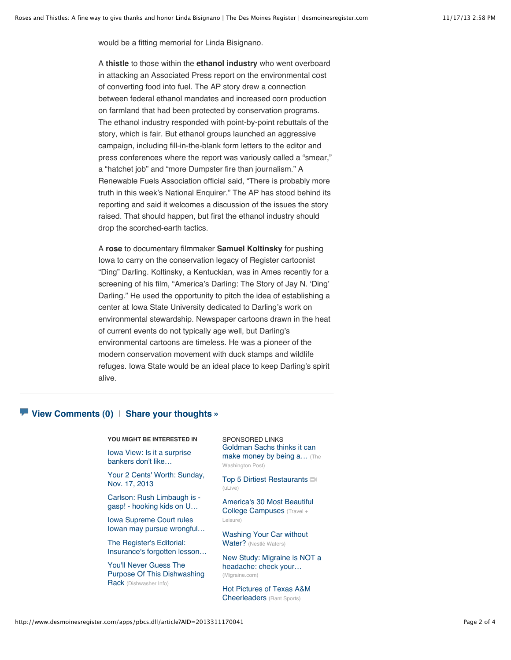would be a fitting memorial for Linda Bisignano.

A **thistle** to those within the **ethanol industry** who went overboard in attacking an Associated Press report on the environmental cost of converting food into fuel. The AP story drew a connection between federal ethanol mandates and increased corn production on farmland that had been protected by conservation programs. The ethanol industry responded with point-by-point rebuttals of the story, which is fair. But ethanol groups launched an aggressive campaign, including fill-in-the-blank form letters to the editor and press conferences where the report was variously called a "smear," a "hatchet job" and "more Dumpster fire than journalism." A Renewable Fuels Association official said, "There is probably more truth in this week's National Enquirer." The AP has stood behind its reporting and said it welcomes a discussion of the issues the story raised. That should happen, but first the ethanol industry should drop the scorched-earth tactics.

A **rose** to documentary filmmaker **Samuel Koltinsky** for pushing Iowa to carry on the conservation legacy of Register cartoonist "Ding" Darling. Koltinsky, a Kentuckian, was in Ames recently for a screening of his film, "America's Darling: The Story of Jay N. ʻDing' Darling." He used the opportunity to pitch the idea of establishing a center at Iowa State University dedicated to Darling's work on environmental stewardship. Newspaper cartoons drawn in the heat of current events do not typically age well, but Darling's environmental cartoons are timeless. He was a pioneer of the modern conservation movement with duck stamps and wildlife refuges. Iowa State would be an ideal place to keep Darling's spirit alive.

#### **[View Comments](http://www.desmoinesregister.com/comments/article/20131117/OPINION03/311170041/Roses-Thistles-fine-way-give-thanks-honor-Linda-Bisignano) (0)** | **[Share your thoughts »](http://www.desmoinesregister.com/comments/article/20131117/OPINION03/311170041/Roses-Thistles-fine-way-give-thanks-honor-Linda-Bisignano)**

**YOU MIGHT BE INTERESTED IN**

[Iowa View: Is it a surprise](http://www.desmoinesregister.com/article/20131117/OPINION01/311170040/Iowa-View-surprise-bankers-don-t-like-competition-) bankers don't like…

[Your 2 Cents' Worth: Sunday,](http://www.desmoinesregister.com/article/20131117/OPINION/311170071/Your-2-Cents-Worth-Sunday-Nov-17-2013) Nov. 17, 2013

[Carlson: Rush Limbaugh is](http://www.desmoinesregister.com/article/20131117/OPINION01/311170038/Carlson-Rush-Limbaugh-gasp-hooking-kids-U-S-history)  gasp! - hooking kids on U…

Iowa Supreme Court rules [Iowan may pursue wrongful…](http://www.desmoinesregister.com/article/20131117/NEWS/311170072/Iowa-Supreme-Court-rules-Iowan-may-pursue-wrongful-imprisonment-claim)

The Register's Editorial: [Insurance's forgotten lesson…](http://www.desmoinesregister.com/article/20131117/OPINION03/311170024/The-Register-s-Editorial-Insurance-s-forgotten-lesson-we-all-help-each-other)

You'll Never Guess The [Purpose Of This Dishwashing](http://www.dishwashersinfo.com/Features/You-ll-Never-Guess-What-This-Dishwashing-Rack-Is-Used-For.htm) Rack (Dishwasher Info)

SPONSORED LINKS [Goldman Sachs thinks it can](http://www.washingtonpost.com/blogs/wonkblog/wp/2013/11/05/goldman-sachs-thinks-it-can-make-money-by-being-a-do-gooder/) make money by being a… (The Washington Post)

[Top 5 Dirtiest Restaurants](http://www.ulive.com/video/top-5-dirtiest-restaurants)  $\blacksquare$ (uLive)

[America's 30 Most Beautiful](http://www.travelandleisure.com/articles/americas-most-beautiful-college-campuses) College Campuses (Travel + Leisure)

[Washing Your Car without](http://waterstories.nestle-waters.com/environment/washing-your-car-without-water/) Water? (Nestlé Waters)

[New Study: Migraine is NOT a](http://migraine.com/mia2012/) headache: check your… (Migraine.com)

[Hot Pictures of Texas A&M](http://www.rantsports.com/clubhouse/2013/08/22/hot-pictures-of-texas-am-cheerleaders/) Cheerleaders (Rant Sports)